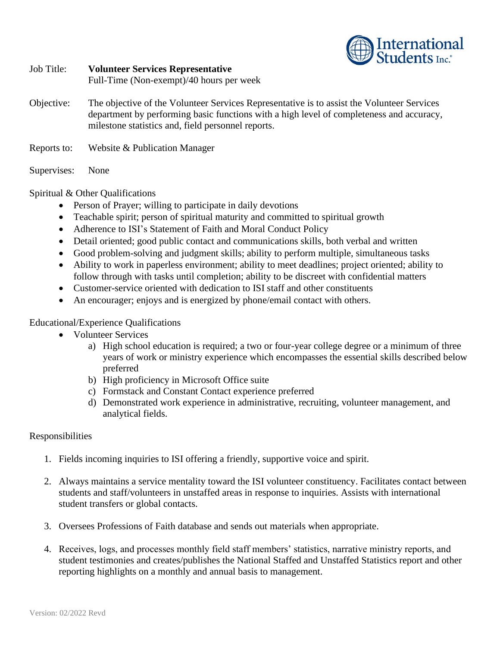

## Job Title: **Volunteer Services Representative** Full-Time (Non-exempt)/40 hours per week Objective: The objective of the Volunteer Services Representative is to assist the Volunteer Services department by performing basic functions with a high level of completeness and accuracy, milestone statistics and, field personnel reports.

Reports to: Website & Publication Manager

Supervises: None

Spiritual & Other Qualifications

- Person of Prayer; willing to participate in daily devotions
- Teachable spirit; person of spiritual maturity and committed to spiritual growth
- Adherence to ISI's Statement of Faith and Moral Conduct Policy
- Detail oriented; good public contact and communications skills, both verbal and written
- Good problem-solving and judgment skills; ability to perform multiple, simultaneous tasks
- Ability to work in paperless environment; ability to meet deadlines; project oriented; ability to follow through with tasks until completion; ability to be discreet with confidential matters
- Customer-service oriented with dedication to ISI staff and other constituents
- An encourager; enjoys and is energized by phone/email contact with others.

## Educational/Experience Qualifications

- Volunteer Services
	- a) High school education is required; a two or four-year college degree or a minimum of three years of work or ministry experience which encompasses the essential skills described below preferred
	- b) High proficiency in Microsoft Office suite
	- c) Formstack and Constant Contact experience preferred
	- d) Demonstrated work experience in administrative, recruiting, volunteer management, and analytical fields.

## Responsibilities

- 1. Fields incoming inquiries to ISI offering a friendly, supportive voice and spirit.
- 2. Always maintains a service mentality toward the ISI volunteer constituency. Facilitates contact between students and staff/volunteers in unstaffed areas in response to inquiries. Assists with international student transfers or global contacts.
- 3. Oversees Professions of Faith database and sends out materials when appropriate.
- 4. Receives, logs, and processes monthly field staff members' statistics, narrative ministry reports, and student testimonies and creates/publishes the National Staffed and Unstaffed Statistics report and other reporting highlights on a monthly and annual basis to management.